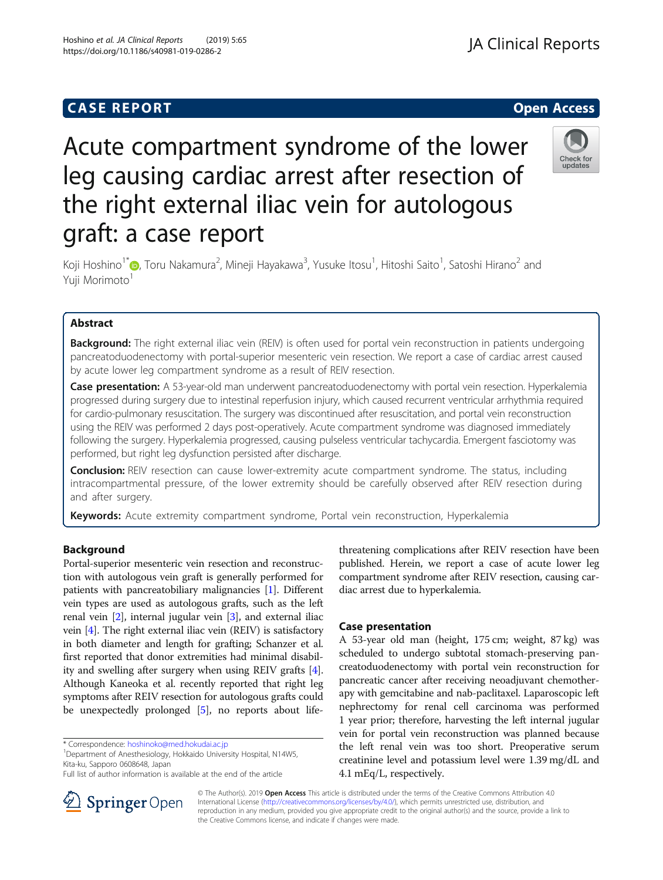# **CASE REPORT CASE REPORT CASE REPORT**

# Acute compartment syndrome of the lower leg causing cardiac arrest after resection of the right external iliac vein for autologous graft: a case report



Koji Hoshino<sup>1[\\*](http://orcid.org/0000-0001-6089-8404)</sup>�, Toru Nakamura<sup>2</sup>, Mineji Hayakawa<sup>3</sup>, Yusuke Itosu<sup>1</sup>, Hitoshi Saito<sup>1</sup>, Satoshi Hirano<sup>2</sup> and Yuji Morimoto<sup>1</sup>

# Abstract

Background: The right external iliac vein (REIV) is often used for portal vein reconstruction in patients undergoing pancreatoduodenectomy with portal-superior mesenteric vein resection. We report a case of cardiac arrest caused by acute lower leg compartment syndrome as a result of REIV resection.

Case presentation: A 53-year-old man underwent pancreatoduodenectomy with portal vein resection. Hyperkalemia progressed during surgery due to intestinal reperfusion injury, which caused recurrent ventricular arrhythmia required for cardio-pulmonary resuscitation. The surgery was discontinued after resuscitation, and portal vein reconstruction using the REIV was performed 2 days post-operatively. Acute compartment syndrome was diagnosed immediately following the surgery. Hyperkalemia progressed, causing pulseless ventricular tachycardia. Emergent fasciotomy was performed, but right leg dysfunction persisted after discharge.

**Conclusion:** REIV resection can cause lower-extremity acute compartment syndrome. The status, including intracompartmental pressure, of the lower extremity should be carefully observed after REIV resection during and after surgery.

Keywords: Acute extremity compartment syndrome, Portal vein reconstruction, Hyperkalemia

# Background

Portal-superior mesenteric vein resection and reconstruction with autologous vein graft is generally performed for patients with pancreatobiliary malignancies [[1\]](#page-3-0). Different vein types are used as autologous grafts, such as the left renal vein [[2](#page-3-0)], internal jugular vein [[3](#page-3-0)], and external iliac vein [\[4](#page-3-0)]. The right external iliac vein (REIV) is satisfactory in both diameter and length for grafting; Schanzer et al. first reported that donor extremities had minimal disability and swelling after surgery when using REIV grafts [[4](#page-3-0)]. Although Kaneoka et al. recently reported that right leg symptoms after REIV resection for autologous grafts could be unexpectedly prolonged [\[5\]](#page-3-0), no reports about life-

<sup>1</sup>Department of Anesthesiology, Hokkaido University Hospital, N14W5, Kita-ku, Sapporo 0608648, Japan



#### Case presentation

A 53-year old man (height, 175 cm; weight, 87 kg) was scheduled to undergo subtotal stomach-preserving pancreatoduodenectomy with portal vein reconstruction for pancreatic cancer after receiving neoadjuvant chemotherapy with gemcitabine and nab-paclitaxel. Laparoscopic left nephrectomy for renal cell carcinoma was performed 1 year prior; therefore, harvesting the left internal jugular vein for portal vein reconstruction was planned because the left renal vein was too short. Preoperative serum creatinine level and potassium level were 1.39 mg/dL and 4.1 mEq/L, respectively.



© The Author(s). 2019 Open Access This article is distributed under the terms of the Creative Commons Attribution 4.0 International License ([http://creativecommons.org/licenses/by/4.0/\)](http://creativecommons.org/licenses/by/4.0/), which permits unrestricted use, distribution, and reproduction in any medium, provided you give appropriate credit to the original author(s) and the source, provide a link to the Creative Commons license, and indicate if changes were made.

<sup>\*</sup> Correspondence: [hoshinoko@med.hokudai.ac.jp](mailto:hoshinoko@med.hokudai.ac.jp) <sup>1</sup>

Full list of author information is available at the end of the article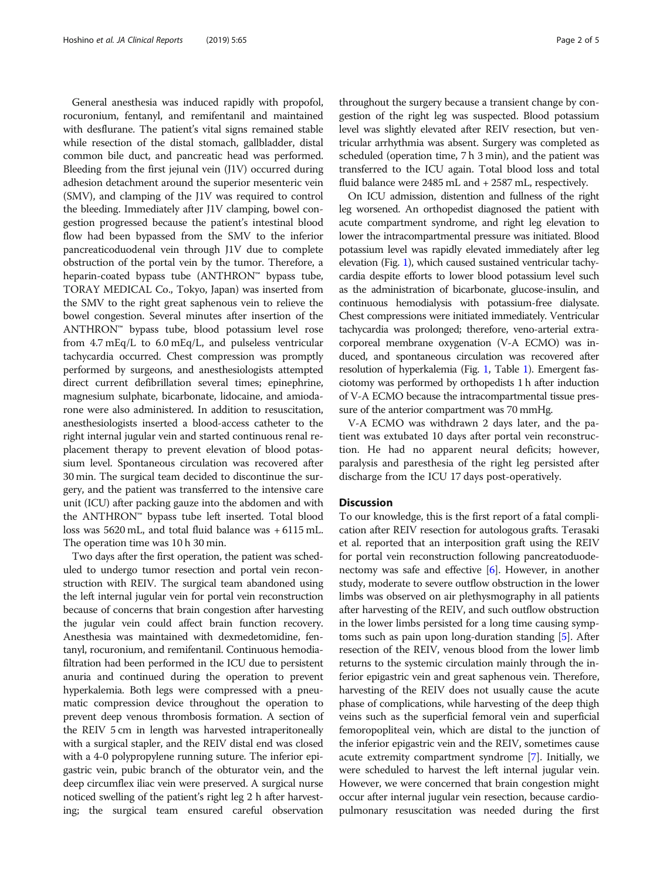General anesthesia was induced rapidly with propofol, rocuronium, fentanyl, and remifentanil and maintained with desflurane. The patient's vital signs remained stable while resection of the distal stomach, gallbladder, distal common bile duct, and pancreatic head was performed. Bleeding from the first jejunal vein (J1V) occurred during adhesion detachment around the superior mesenteric vein (SMV), and clamping of the J1V was required to control the bleeding. Immediately after J1V clamping, bowel congestion progressed because the patient's intestinal blood flow had been bypassed from the SMV to the inferior pancreaticoduodenal vein through J1V due to complete obstruction of the portal vein by the tumor. Therefore, a heparin-coated bypass tube (ANTHRON™ bypass tube, TORAY MEDICAL Co., Tokyo, Japan) was inserted from the SMV to the right great saphenous vein to relieve the bowel congestion. Several minutes after insertion of the ANTHRON™ bypass tube, blood potassium level rose from 4.7 mEq/L to 6.0 mEq/L, and pulseless ventricular tachycardia occurred. Chest compression was promptly performed by surgeons, and anesthesiologists attempted direct current defibrillation several times; epinephrine, magnesium sulphate, bicarbonate, lidocaine, and amiodarone were also administered. In addition to resuscitation, anesthesiologists inserted a blood-access catheter to the right internal jugular vein and started continuous renal replacement therapy to prevent elevation of blood potassium level. Spontaneous circulation was recovered after 30 min. The surgical team decided to discontinue the surgery, and the patient was transferred to the intensive care unit (ICU) after packing gauze into the abdomen and with the ANTHRON™ bypass tube left inserted. Total blood loss was 5620 mL, and total fluid balance was + 6115 mL. The operation time was 10 h 30 min.

Two days after the first operation, the patient was scheduled to undergo tumor resection and portal vein reconstruction with REIV. The surgical team abandoned using the left internal jugular vein for portal vein reconstruction because of concerns that brain congestion after harvesting the jugular vein could affect brain function recovery. Anesthesia was maintained with dexmedetomidine, fentanyl, rocuronium, and remifentanil. Continuous hemodiafiltration had been performed in the ICU due to persistent anuria and continued during the operation to prevent hyperkalemia. Both legs were compressed with a pneumatic compression device throughout the operation to prevent deep venous thrombosis formation. A section of the REIV 5 cm in length was harvested intraperitoneally with a surgical stapler, and the REIV distal end was closed with a 4-0 polypropylene running suture. The inferior epigastric vein, pubic branch of the obturator vein, and the deep circumflex iliac vein were preserved. A surgical nurse noticed swelling of the patient's right leg 2 h after harvesting; the surgical team ensured careful observation

throughout the surgery because a transient change by congestion of the right leg was suspected. Blood potassium level was slightly elevated after REIV resection, but ventricular arrhythmia was absent. Surgery was completed as scheduled (operation time, 7 h 3 min), and the patient was transferred to the ICU again. Total blood loss and total fluid balance were 2485 mL and + 2587 mL, respectively.

On ICU admission, distention and fullness of the right leg worsened. An orthopedist diagnosed the patient with acute compartment syndrome, and right leg elevation to lower the intracompartmental pressure was initiated. Blood potassium level was rapidly elevated immediately after leg elevation (Fig. [1\)](#page-2-0), which caused sustained ventricular tachycardia despite efforts to lower blood potassium level such as the administration of bicarbonate, glucose-insulin, and continuous hemodialysis with potassium-free dialysate. Chest compressions were initiated immediately. Ventricular tachycardia was prolonged; therefore, veno-arterial extracorporeal membrane oxygenation (V-A ECMO) was induced, and spontaneous circulation was recovered after resolution of hyperkalemia (Fig. [1,](#page-2-0) Table [1\)](#page-2-0). Emergent fasciotomy was performed by orthopedists 1 h after induction of V-A ECMO because the intracompartmental tissue pressure of the anterior compartment was 70 mmHg.

V-A ECMO was withdrawn 2 days later, and the patient was extubated 10 days after portal vein reconstruction. He had no apparent neural deficits; however, paralysis and paresthesia of the right leg persisted after discharge from the ICU 17 days post-operatively.

## **Discussion**

To our knowledge, this is the first report of a fatal complication after REIV resection for autologous grafts. Terasaki et al. reported that an interposition graft using the REIV for portal vein reconstruction following pancreatoduodenectomy was safe and effective [[6\]](#page-3-0). However, in another study, moderate to severe outflow obstruction in the lower limbs was observed on air plethysmography in all patients after harvesting of the REIV, and such outflow obstruction in the lower limbs persisted for a long time causing symptoms such as pain upon long-duration standing [[5](#page-3-0)]. After resection of the REIV, venous blood from the lower limb returns to the systemic circulation mainly through the inferior epigastric vein and great saphenous vein. Therefore, harvesting of the REIV does not usually cause the acute phase of complications, while harvesting of the deep thigh veins such as the superficial femoral vein and superficial femoropopliteal vein, which are distal to the junction of the inferior epigastric vein and the REIV, sometimes cause acute extremity compartment syndrome [\[7\]](#page-3-0). Initially, we were scheduled to harvest the left internal jugular vein. However, we were concerned that brain congestion might occur after internal jugular vein resection, because cardiopulmonary resuscitation was needed during the first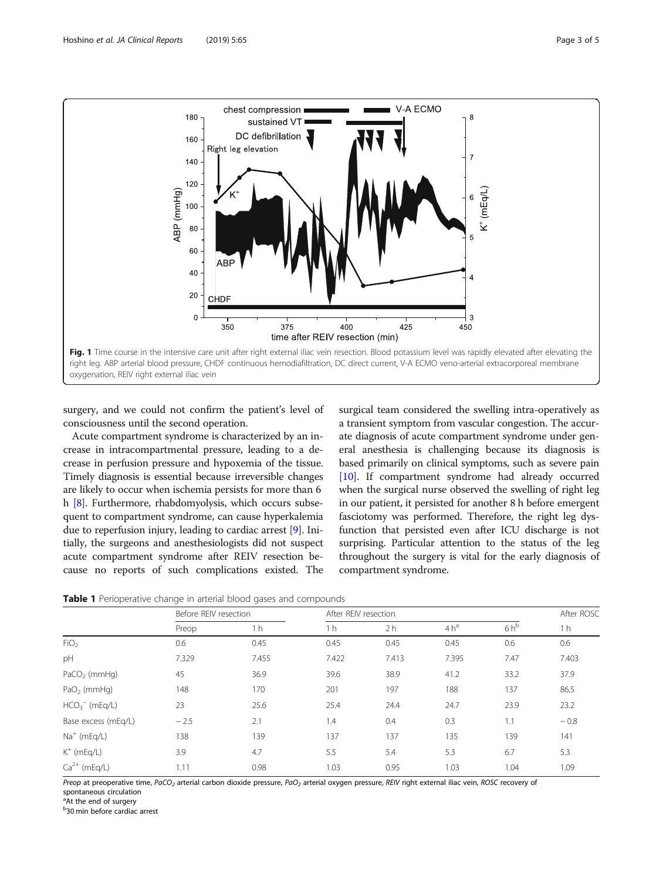<span id="page-2-0"></span>

surgery, and we could not confirm the patient's level of consciousness until the second operation.

Acute compartment syndrome is characterized by an increase in intracompartmental pressure, leading to a decrease in perfusion pressure and hypoxemia of the tissue. Timely diagnosis is essential because irreversible changes are likely to occur when ischemia persists for more than 6 h [[8\]](#page-4-0). Furthermore, rhabdomyolysis, which occurs subsequent to compartment syndrome, can cause hyperkalemia due to reperfusion injury, leading to cardiac arrest [\[9](#page-4-0)]. Initially, the surgeons and anesthesiologists did not suspect acute compartment syndrome after REIV resection because no reports of such complications existed. The

surgical team considered the swelling intra-operatively as a transient symptom from vascular congestion. The accurate diagnosis of acute compartment syndrome under general anesthesia is challenging because its diagnosis is based primarily on clinical symptoms, such as severe pain [[10](#page-4-0)]. If compartment syndrome had already occurred when the surgical nurse observed the swelling of right leg in our patient, it persisted for another 8 h before emergent fasciotomy was performed. Therefore, the right leg dysfunction that persisted even after ICU discharge is not surprising. Particular attention to the status of the leg throughout the surgery is vital for the early diagnosis of compartment syndrome.

|  |  |  | Table 1 Perioperative change in arterial blood gases and compounds |  |
|--|--|--|--------------------------------------------------------------------|--|
|--|--|--|--------------------------------------------------------------------|--|

|                         | Before REIV resection |                | After REIV resection |                |                 |        | After ROSC     |
|-------------------------|-----------------------|----------------|----------------------|----------------|-----------------|--------|----------------|
|                         | Preop                 | 1 <sub>h</sub> | 1 <sub>h</sub>       | 2 <sub>h</sub> | 4h <sup>a</sup> | $6h^b$ | 1 <sub>h</sub> |
| FiO <sub>2</sub>        | 0.6                   | 0.45           | 0.45                 | 0.45           | 0.45            | 0.6    | 0.6            |
| pH                      | 7.329                 | 7.455          | 7.422                | 7.413          | 7.395           | 7.47   | 7.403          |
| $PaCO2$ (mmHg)          | 45                    | 36.9           | 39.6                 | 38.9           | 41.2            | 33.2   | 37.9           |
| PaO <sub>2</sub> (mmHg) | 148                   | 170            | 201                  | 197            | 188             | 137    | 86.5           |
| $HCO3-$ (mEq/L)         | 23                    | 25.6           | 25.4                 | 24.4           | 24.7            | 23.9   | 23.2           |
| Base excess (mEq/L)     | $-2.5$                | 2.1            | 1.4                  | 0.4            | 0.3             | 1.1    | $-0.8$         |
| $Na+$ (mEq/L)           | 138                   | 139            | 137                  | 137            | 135             | 139    | 141            |
| $K^+$ (mEq/L)           | 3.9                   | 4.7            | 5.5                  | 5.4            | 5.3             | 6.7    | 5.3            |
| $Ca^{2+}$ (mEq/L)       | 1.11                  | 0.98           | 1.03                 | 0.95           | 1.03            | 1.04   | 1.09           |

Preop at preoperative time, PaCO<sub>2</sub> arterial carbon dioxide pressure, PaO<sub>2</sub> arterial oxygen pressure, REIV right external iliac vein, ROSC recovery of spontaneous circulation

<sup>a</sup>At the end of surgery

b 30 min before cardiac arrest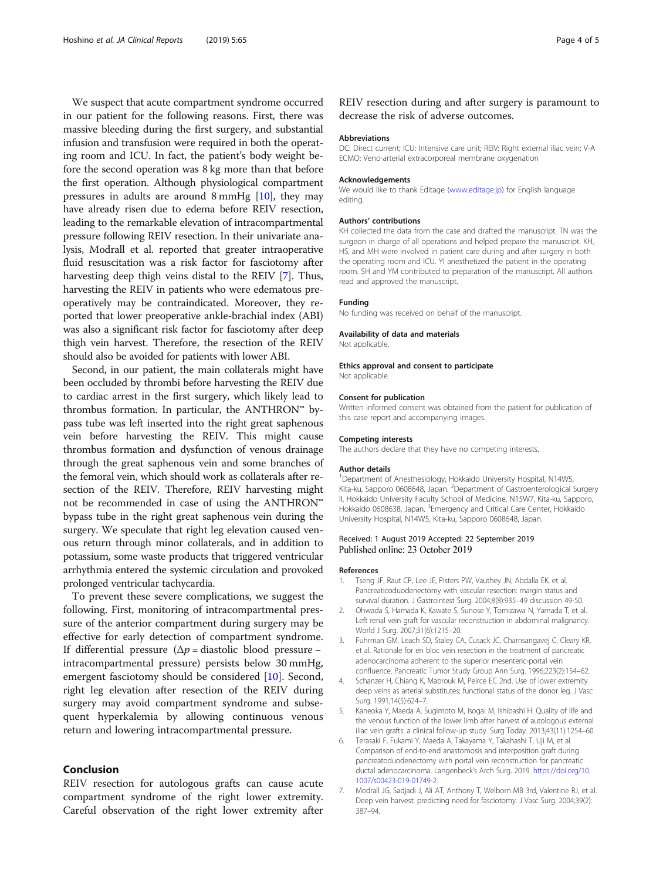<span id="page-3-0"></span>We suspect that acute compartment syndrome occurred in our patient for the following reasons. First, there was massive bleeding during the first surgery, and substantial infusion and transfusion were required in both the operating room and ICU. In fact, the patient's body weight before the second operation was 8 kg more than that before the first operation. Although physiological compartment pressures in adults are around 8 mmHg [[10](#page-4-0)], they may have already risen due to edema before REIV resection, leading to the remarkable elevation of intracompartmental pressure following REIV resection. In their univariate analysis, Modrall et al. reported that greater intraoperative fluid resuscitation was a risk factor for fasciotomy after harvesting deep thigh veins distal to the REIV [7]. Thus, harvesting the REIV in patients who were edematous preoperatively may be contraindicated. Moreover, they reported that lower preoperative ankle-brachial index (ABI) was also a significant risk factor for fasciotomy after deep thigh vein harvest. Therefore, the resection of the REIV should also be avoided for patients with lower ABI.

Second, in our patient, the main collaterals might have been occluded by thrombi before harvesting the REIV due to cardiac arrest in the first surgery, which likely lead to thrombus formation. In particular, the ANTHRON™ bypass tube was left inserted into the right great saphenous vein before harvesting the REIV. This might cause thrombus formation and dysfunction of venous drainage through the great saphenous vein and some branches of the femoral vein, which should work as collaterals after resection of the REIV. Therefore, REIV harvesting might not be recommended in case of using the ANTHRON™ bypass tube in the right great saphenous vein during the surgery. We speculate that right leg elevation caused venous return through minor collaterals, and in addition to potassium, some waste products that triggered ventricular arrhythmia entered the systemic circulation and provoked prolonged ventricular tachycardia.

To prevent these severe complications, we suggest the following. First, monitoring of intracompartmental pressure of the anterior compartment during surgery may be effective for early detection of compartment syndrome. If differential pressure  $(\Delta p = \text{diastolic blood pressure}$ intracompartmental pressure) persists below 30 mmHg, emergent fasciotomy should be considered [\[10](#page-4-0)]. Second, right leg elevation after resection of the REIV during surgery may avoid compartment syndrome and subsequent hyperkalemia by allowing continuous venous return and lowering intracompartmental pressure.

#### Conclusion

REIV resection for autologous grafts can cause acute compartment syndrome of the right lower extremity. Careful observation of the right lower extremity after

REIV resection during and after surgery is paramount to decrease the risk of adverse outcomes.

#### Abbreviations

DC: Direct current; ICU: Intensive care unit; REIV: Right external iliac vein; V-A ECMO: Veno-arterial extracorporeal membrane oxygenation

#### Acknowledgements

We would like to thank Editage [\(www.editage.jp\)](http://www.editage.jp) for English language editing.

#### Authors' contributions

KH collected the data from the case and drafted the manuscript. TN was the surgeon in charge of all operations and helped prepare the manuscript. KH, HS, and MH were involved in patient care during and after surgery in both the operating room and ICU. YI anesthetized the patient in the operating room. SH and YM contributed to preparation of the manuscript. All authors read and approved the manuscript.

#### Funding

No funding was received on behalf of the manuscript.

#### Availability of data and materials

Not applicable

Ethics approval and consent to participate Not applicable.

#### Consent for publication

Written informed consent was obtained from the patient for publication of this case report and accompanying images.

#### Competing interests

The authors declare that they have no competing interests.

#### Author details

<sup>1</sup>Department of Anesthesiology, Hokkaido University Hospital, N14W5 Kita-ku, Sapporo 0608648, Japan. <sup>2</sup>Department of Gastroenterological Surgery II, Hokkaido University Faculty School of Medicine, N15W7, Kita-ku, Sapporo, Hokkaido 0608638, Japan. <sup>3</sup>Emergency and Critical Care Center, Hokkaidc University Hospital, N14W5, Kita-ku, Sapporo 0608648, Japan.

#### Received: 1 August 2019 Accepted: 22 September 2019 Published online: 23 October 2019

#### References

- Tseng JF, Raut CP, Lee JE, Pisters PW, Vauthey JN, Abdalla EK, et al. Pancreaticoduodenectomy with vascular resection: margin status and survival duration. J Gastrointest Surg. 2004;8(8):935–49 discussion 49-50.
- 2. Ohwada S, Hamada K, Kawate S, Sunose Y, Tomizawa N, Yamada T, et al. Left renal vein graft for vascular reconstruction in abdominal malignancy. World J Surg. 2007;31(6):1215–20.
- 3. Fuhrman GM, Leach SD, Staley CA, Cusack JC, Charnsangavej C, Cleary KR, et al. Rationale for en bloc vein resection in the treatment of pancreatic adenocarcinoma adherent to the superior mesenteric-portal vein confluence. Pancreatic Tumor Study Group Ann Surg. 1996;223(2):154–62.
- 4. Schanzer H, Chiang K, Mabrouk M, Peirce EC 2nd. Use of lower extremity deep veins as arterial substitutes: functional status of the donor leg. J Vasc Surg. 1991;14(5):624–7.
- 5. Kaneoka Y, Maeda A, Sugimoto M, Isogai M, Ishibashi H. Quality of life and the venous function of the lower limb after harvest of autologous external iliac vein grafts: a clinical follow-up study. Surg Today. 2013;43(11):1254–60.
- 6. Terasaki F, Fukami Y, Maeda A, Takayama Y, Takahashi T, Uji M, et al. Comparison of end-to-end anastomosis and interposition graft during pancreatoduodenectomy with portal vein reconstruction for pancreatic ductal adenocarcinoma. Langenbeck's Arch Surg. 2019. [https://doi.org/10.](https://doi.org/10.1007/s00423-019-01749-2) [1007/s00423-019-01749-2](https://doi.org/10.1007/s00423-019-01749-2).
- 7. Modrall JG, Sadjadi J, Ali AT, Anthony T, Welborn MB 3rd, Valentine RJ, et al. Deep vein harvest: predicting need for fasciotomy. J Vasc Surg. 2004;39(2): 387–94.